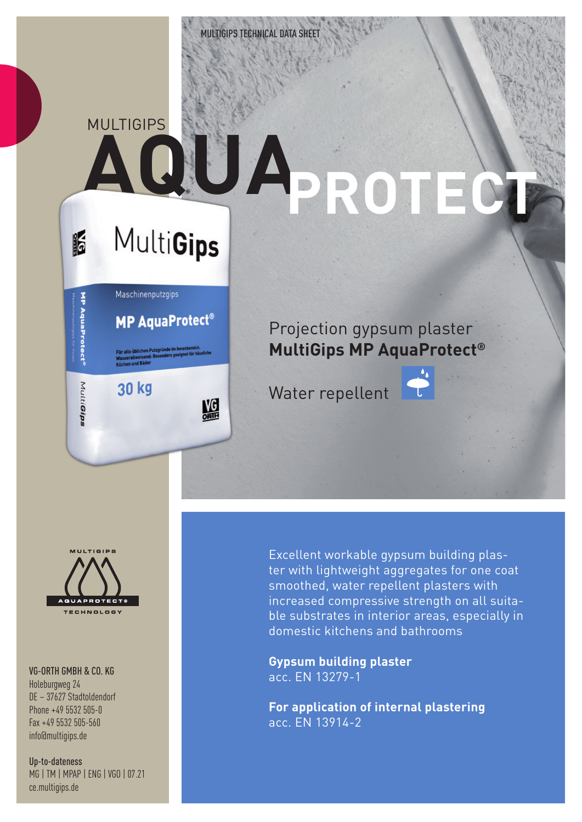## **MULTIGIPS AQUA PROTECT** IF

# **MultiGips**

|                   | Maschinenputzgips                                                                                                    |
|-------------------|----------------------------------------------------------------------------------------------------------------------|
| MP AquaProtect    | <b>MP AquaProtect</b>                                                                                                |
|                   | Für alle üblichen Putzgründe im Innenbereich.<br>Wasserabweisend: Besonders geeignet für häuslig<br>Küchen und Bäder |
| Multi <b>Gips</b> | 30 kg                                                                                                                |
|                   | Į                                                                                                                    |

### Projection gypsum plaster **MultiGips MP AquaProtect®**

Water repellent





#### VG-ORTH GMBH & CO. KG

Holeburgweg 24 DE – 37627 Stadtoldendorf Phone +49 5532 505-0 Fax +49 5532 505-560 info@multigips.de

Up-to-dateness MG | TM | MPAP | ENG | VGO | 07.21 ce.multigips.de

Excellent workable gypsum building plaster with lightweight aggregates for one coat smoothed, water repellent plasters with increased compressive strength on all suitable substrates in interior areas, especially in domestic kitchens and bathrooms

**Gypsum building plaster** acc. EN 13279-1

**For application of internal plastering** acc. EN 13914-2